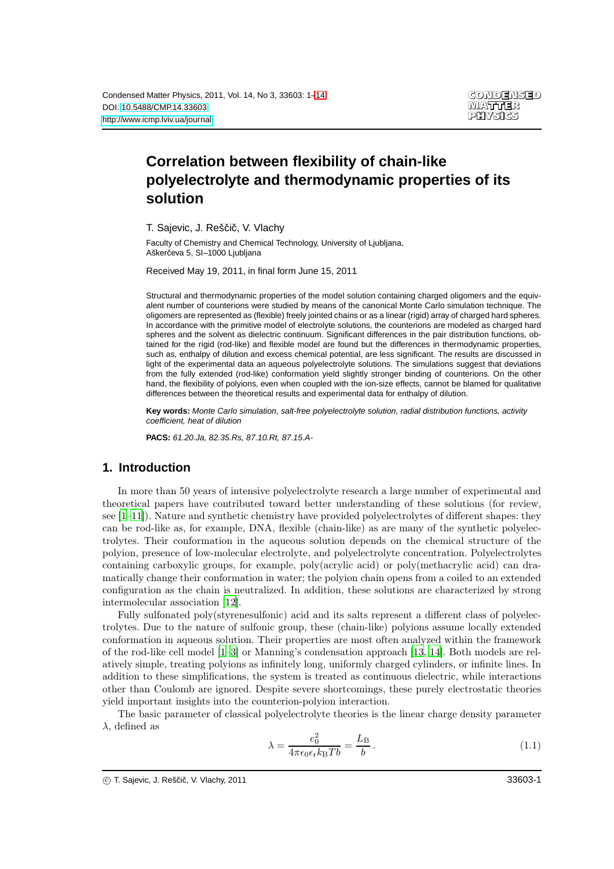# **Correlation between flexibility of chain-like polyelectrolyte and thermodynamic properties of its solution**

T. Sajevic, J. Reščič, V. Vlachy

Faculty of Chemistry and Chemical Technology, University of Ljubljana, Aškerčeva 5, SI-1000 Ljubljana

Received May 19, 2011, in final form June 15, 2011

Structural and thermodynamic properties of the model solution containing charged oligomers and the equivalent number of counterions were studied by means of the canonical Monte Carlo simulation technique. The oligomers are represented as (flexible) freely jointed chains or as a linear (rigid) array of charged hard spheres. In accordance with the primitive model of electrolyte solutions, the counterions are modeled as charged hard spheres and the solvent as dielectric continuum. Significant differences in the pair distribution functions, obtained for the rigid (rod-like) and flexible model are found but the differences in thermodynamic properties, such as, enthalpy of dilution and excess chemical potential, are less significant. The results are discussed in light of the experimental data an aqueous polyelectrolyte solutions. The simulations suggest that deviations from the fully extended (rod-like) conformation yield slightly stronger binding of counterions. On the other hand, the flexibility of polyions, even when coupled with the ion-size effects, cannot be blamed for qualitative differences between the theoretical results and experimental data for enthalpy of dilution.

**Key words:** Monte Carlo simulation, salt-free polyelectrolyte solution, radial distribution functions, activity coefficient, heat of dilution

**PACS:** 61.20.Ja, 82.35.Rs, 87.10.Rt, 87.15.A-

## **1. Introduction**

In more than 50 years of intensive polyelectrolyte research a large number of experimental and theoretical papers have contributed toward better understanding of these solutions (for review, see  $[1-11]$ ). Nature and synthetic chemistry have provided polyelectrolytes of different shapes: they can be rod-like as, for example, DNA, flexible (chain-like) as are many of the synthetic polyelectrolytes. Their conformation in the aqueous solution depends on the chemical structure of the polyion, presence of low-molecular electrolyte, and polyelectrolyte concentration. Polyelectrolytes containing carboxylic groups, for example, poly(acrylic acid) or poly(methacrylic acid) can dramatically change their conformation in water; the polyion chain opens from a coiled to an extended configuration as the chain is neutralized. In addition, these solutions are characterized by strong intermolecular association [\[12](#page-11-3)].

Fully sulfonated poly(styrenesulfonic) acid and its salts represent a different class of polyelectrolytes. Due to the nature of sulfonic group, these (chain-like) polyions assume locally extended conformation in aqueous solution. Their properties are most often analyzed within the framework of the rod-like cell model [\[1](#page-11-1)[–3\]](#page-11-4) or Manning's condensation approach [\[13,](#page-11-5) [14\]](#page-11-6). Both models are relatively simple, treating polyions as infinitely long, uniformly charged cylinders, or infinite lines. In addition to these simplifications, the system is treated as continuous dielectric, while interactions other than Coulomb are ignored. Despite severe shortcomings, these purely electrostatic theories yield important insights into the counterion-polyion interaction.

The basic parameter of classical polyelectrolyte theories is the linear charge density parameter  $\lambda$ , defined as

<span id="page-0-0"></span>
$$
\lambda = \frac{e_0^2}{4\pi\epsilon_0\epsilon_r k_\text{B} T b} = \frac{L_\text{B}}{b} \,. \tag{1.1}
$$

c T. Sajevic, J. Rešci ˇ c, V. Vlachy, 2011 ˇ 33603-1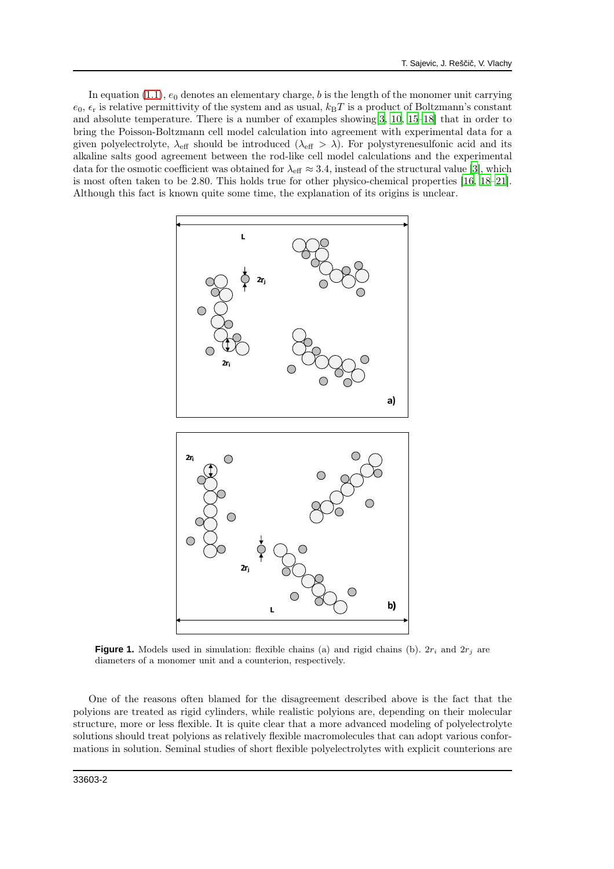In equation [\(1.1\)](#page-0-0),  $e_0$  denotes an elementary charge, b is the length of the monomer unit carrying  $e_0$ ,  $\epsilon_r$  is relative permittivity of the system and as usual,  $k_BT$  is a product of Boltzmann's constant and absolute temperature. There is a number of examples showing[\[3,](#page-11-4) [10](#page-11-7), [15](#page-11-8)[–18](#page-11-9)] that in order to bring the Poisson-Boltzmann cell model calculation into agreement with experimental data for a given polyelectrolyte,  $\lambda_{\text{eff}}$  should be introduced  $(\lambda_{\text{eff}} > \lambda)$ . For polystyrenesulfonic acid and its alkaline salts good agreement between the rod-like cell model calculations and the experimental data for the osmotic coefficient was obtained for  $\lambda_{\text{eff}} \approx 3.4$ , instead of the structural value [\[3\]](#page-11-4), which is most often taken to be 2.80. This holds true for other physico-chemical properties [\[16](#page-11-10), [18](#page-11-9)[–21\]](#page-12-0). Although this fact is known quite some time, the explanation of its origins is unclear.



**Figure 1.** Models used in simulation: flexible chains (a) and rigid chains (b).  $2r_i$  and  $2r_j$  are diameters of a monomer unit and a counterion, respectively.

One of the reasons often blamed for the disagreement described above is the fact that the polyions are treated as rigid cylinders, while realistic polyions are, depending on their molecular structure, more or less flexible. It is quite clear that a more advanced modeling of polyelectrolyte solutions should treat polyions as relatively flexible macromolecules that can adopt various conformations in solution. Seminal studies of short flexible polyelectrolytes with explicit counterions are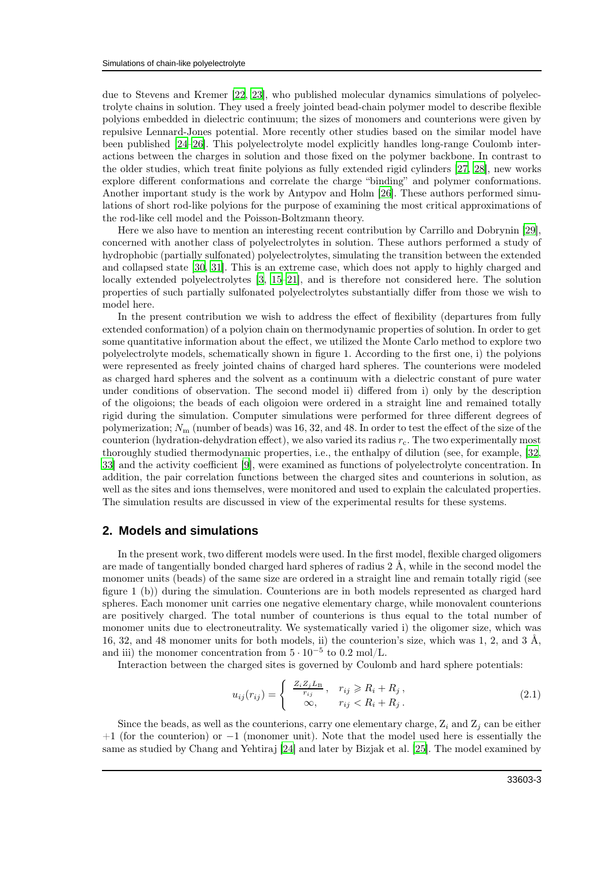due to Stevens and Kremer [\[22,](#page-12-1) [23](#page-12-2)], who published molecular dynamics simulations of polyelectrolyte chains in solution. They used a freely jointed bead-chain polymer model to describe flexible polyions embedded in dielectric continuum; the sizes of monomers and counterions were given by repulsive Lennard-Jones potential. More recently other studies based on the similar model have been published [\[24](#page-12-3)[–26\]](#page-12-4). This polyelectrolyte model explicitly handles long-range Coulomb interactions between the charges in solution and those fixed on the polymer backbone. In contrast to the older studies, which treat finite polyions as fully extended rigid cylinders [\[27](#page-12-5), [28\]](#page-12-6), new works explore different conformations and correlate the charge "binding" and polymer conformations. Another important study is the work by Antypov and Holm [\[26\]](#page-12-4). These authors performed simulations of short rod-like polyions for the purpose of examining the most critical approximations of the rod-like cell model and the Poisson-Boltzmann theory.

Here we also have to mention an interesting recent contribution by Carrillo and Dobrynin [\[29\]](#page-12-7), concerned with another class of polyelectrolytes in solution. These authors performed a study of hydrophobic (partially sulfonated) polyelectrolytes, simulating the transition between the extended and collapsed state [\[30,](#page-12-8) [31\]](#page-12-9). This is an extreme case, which does not apply to highly charged and locally extended polyelectrolytes [\[3,](#page-11-4) [15](#page-11-8)[–21](#page-12-0)], and is therefore not considered here. The solution properties of such partially sulfonated polyelectrolytes substantially differ from those we wish to model here.

In the present contribution we wish to address the effect of flexibility (departures from fully extended conformation) of a polyion chain on thermodynamic properties of solution. In order to get some quantitative information about the effect, we utilized the Monte Carlo method to explore two polyelectrolyte models, schematically shown in figure 1. According to the first one, i) the polyions were represented as freely jointed chains of charged hard spheres. The counterions were modeled as charged hard spheres and the solvent as a continuum with a dielectric constant of pure water under conditions of observation. The second model ii) differed from i) only by the description of the oligoions; the beads of each oligoion were ordered in a straight line and remained totally rigid during the simulation. Computer simulations were performed for three different degrees of polymerization;  $N_{\rm m}$  (number of beads) was 16, 32, and 48. In order to test the effect of the size of the counterion (hydration-dehydration effect), we also varied its radius  $r_c$ . The two experimentally most thoroughly studied thermodynamic properties, i.e., the enthalpy of dilution (see, for example, [\[32,](#page-12-10) [33](#page-12-11)] and the activity coefficient [\[9\]](#page-11-11), were examined as functions of polyelectrolyte concentration. In addition, the pair correlation functions between the charged sites and counterions in solution, as well as the sites and ions themselves, were monitored and used to explain the calculated properties. The simulation results are discussed in view of the experimental results for these systems.

## **2. Models and simulations**

In the present work, two different models were used. In the first model, flexible charged oligomers are made of tangentially bonded charged hard spheres of radius 2 Å, while in the second model the monomer units (beads) of the same size are ordered in a straight line and remain totally rigid (see figure 1 (b)) during the simulation. Counterions are in both models represented as charged hard spheres. Each monomer unit carries one negative elementary charge, while monovalent counterions are positively charged. The total number of counterions is thus equal to the total number of monomer units due to electroneutrality. We systematically varied i) the oligomer size, which was 16, 32, and 48 monomer units for both models, ii) the counterion's size, which was 1, 2, and 3  $\AA$ , and iii) the monomer concentration from  $5 \cdot 10^{-5}$  to 0.2 mol/L.

Interaction between the charged sites is governed by Coulomb and hard sphere potentials:

$$
u_{ij}(r_{ij}) = \begin{cases} \frac{Z_i Z_j L_B}{r_{ij}}, & r_{ij} \ge R_i + R_j, \\ \infty, & r_{ij} < R_i + R_j. \end{cases}
$$
\n(2.1)

Since the beads, as well as the counterions, carry one elementary charge,  $Z_i$  and  $Z_j$  can be either  $+1$  (for the counterion) or  $-1$  (monomer unit). Note that the model used here is essentially the same as studied by Chang and Yehtiraj [\[24](#page-12-3)] and later by Bizjak et al. [\[25](#page-12-12)]. The model examined by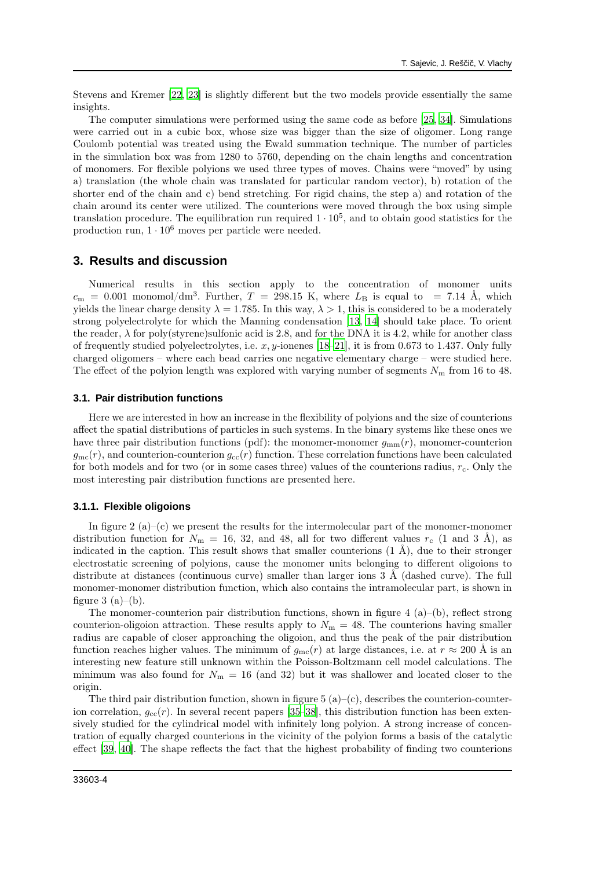Stevens and Kremer [\[22](#page-12-1), [23](#page-12-2)] is slightly different but the two models provide essentially the same insights.

The computer simulations were performed using the same code as before [\[25](#page-12-12), [34\]](#page-12-13). Simulations were carried out in a cubic box, whose size was bigger than the size of oligomer. Long range Coulomb potential was treated using the Ewald summation technique. The number of particles in the simulation box was from 1280 to 5760, depending on the chain lengths and concentration of monomers. For flexible polyions we used three types of moves. Chains were "moved" by using a) translation (the whole chain was translated for particular random vector), b) rotation of the shorter end of the chain and c) bend stretching. For rigid chains, the step a) and rotation of the chain around its center were utilized. The counterions were moved through the box using simple translation procedure. The equilibration run required  $1 \cdot 10^5$ , and to obtain good statistics for the production run,  $1 \cdot 10^6$  moves per particle were needed.

#### **3. Results and discussion**

Numerical results in this section apply to the concentration of monomer units  $c_{\rm m}$  = 0.001 monomol/dm<sup>3</sup>. Further, T = 298.15 K, where  $L_{\rm B}$  is equal to = 7.14 Å, which yields the linear charge density  $\lambda = 1.785$ . In this way,  $\lambda > 1$ , this is considered to be a moderately strong polyelectrolyte for which the Manning condensation [\[13,](#page-11-5) [14](#page-11-6)] should take place. To orient the reader,  $\lambda$  for poly(styrene)sulfonic acid is 2.8, and for the DNA it is 4.2, while for another class of frequently studied polyelectrolytes, i.e.  $x, y$ -ionenes [\[18](#page-11-9)[–21](#page-12-0)], it is from 0.673 to 1.437. Only fully charged oligomers – where each bead carries one negative elementary charge – were studied here. The effect of the polyion length was explored with varying number of segments  $N<sub>m</sub>$  from 16 to 48.

#### **3.1. Pair distribution functions**

Here we are interested in how an increase in the flexibility of polyions and the size of counterions affect the spatial distributions of particles in such systems. In the binary systems like these ones we have three pair distribution functions (pdf): the monomer-monomer  $g_{mm}(r)$ , monomer-counterion  $g_{\rm mc}(r)$ , and counterion-counterion  $g_{\rm cc}(r)$  function. These correlation functions have been calculated for both models and for two (or in some cases three) values of the counterions radius,  $r_c$ . Only the most interesting pair distribution functions are presented here.

#### **3.1.1. Flexible oligoions**

In figure 2 (a)–(c) we present the results for the intermolecular part of the monomer-monomer distribution function for  $N_{\rm m}$  = 16, 32, and 48, all for two different values  $r_{\rm c}$  (1 and 3 Å), as indicated in the caption. This result shows that smaller counterions  $(1 \text{ Å})$ , due to their stronger electrostatic screening of polyions, cause the monomer units belonging to different oligoions to distribute at distances (continuous curve) smaller than larger ions 3 Å (dashed curve). The full monomer-monomer distribution function, which also contains the intramolecular part, is shown in figure 3  $(a)$ – $(b)$ .

The monomer-counterion pair distribution functions, shown in figure 4 (a)–(b), reflect strong counterion-oligoion attraction. These results apply to  $N<sub>m</sub> = 48$ . The counterions having smaller radius are capable of closer approaching the oligoion, and thus the peak of the pair distribution function reaches higher values. The minimum of  $g_{\text{mc}}(r)$  at large distances, i.e. at  $r \approx 200 \text{ Å}$  is an interesting new feature still unknown within the Poisson-Boltzmann cell model calculations. The minimum was also found for  $N_{\rm m} = 16$  (and 32) but it was shallower and located closer to the origin.

The third pair distribution function, shown in figure 5  $(a)-(c)$ , describes the counterion-counterion correlation,  $g_{cc}(r)$ . In several recent papers [\[35](#page-12-14)[–38\]](#page-12-15), this distribution function has been extensively studied for the cylindrical model with infinitely long polyion. A strong increase of concentration of equally charged counterions in the vicinity of the polyion forms a basis of the catalytic effect [\[39](#page-12-16), [40\]](#page-12-17). The shape reflects the fact that the highest probability of finding two counterions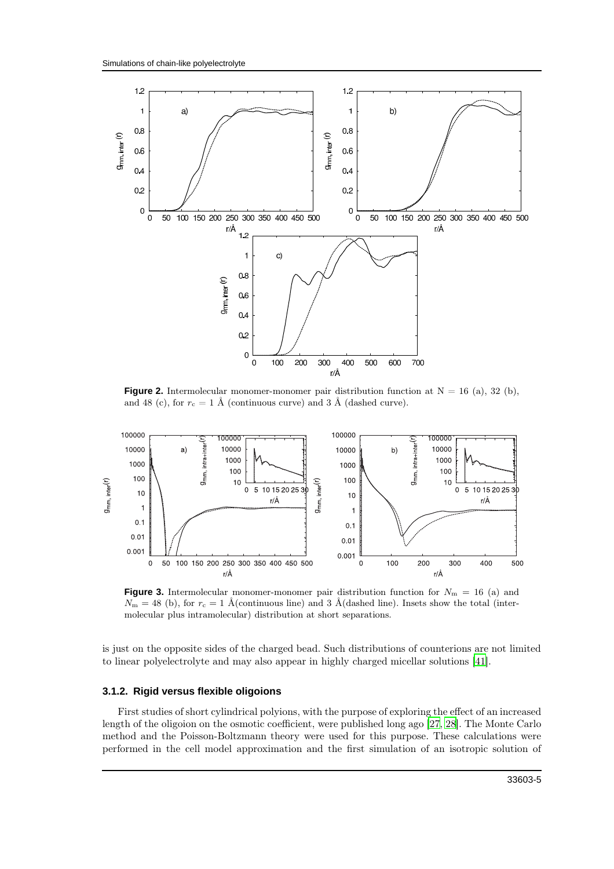

**Figure 2.** Intermolecular monomer-monomer pair distribution function at  $N = 16$  (a), 32 (b), and 48 (c), for  $r_c = 1$  Å (continuous curve) and 3 Å (dashed curve).



**Figure 3.** Intermolecular monomer-monomer pair distribution function for  $N_{\rm m} = 16$  (a) and  $N_{\rm m} = 48$  (b), for  $r_{\rm c} = 1$  Å(continuous line) and 3 Å(dashed line). Insets show the total (intermolecular plus intramolecular) distribution at short separations.

is just on the opposite sides of the charged bead. Such distributions of counterions are not limited to linear polyelectrolyte and may also appear in highly charged micellar solutions [\[41\]](#page-12-18).

#### **3.1.2. Rigid versus flexible oligoions**

First studies of short cylindrical polyions, with the purpose of exploring the effect of an increased length of the oligoion on the osmotic coefficient, were published long ago [\[27](#page-12-5), [28\]](#page-12-6). The Monte Carlo method and the Poisson-Boltzmann theory were used for this purpose. These calculations were performed in the cell model approximation and the first simulation of an isotropic solution of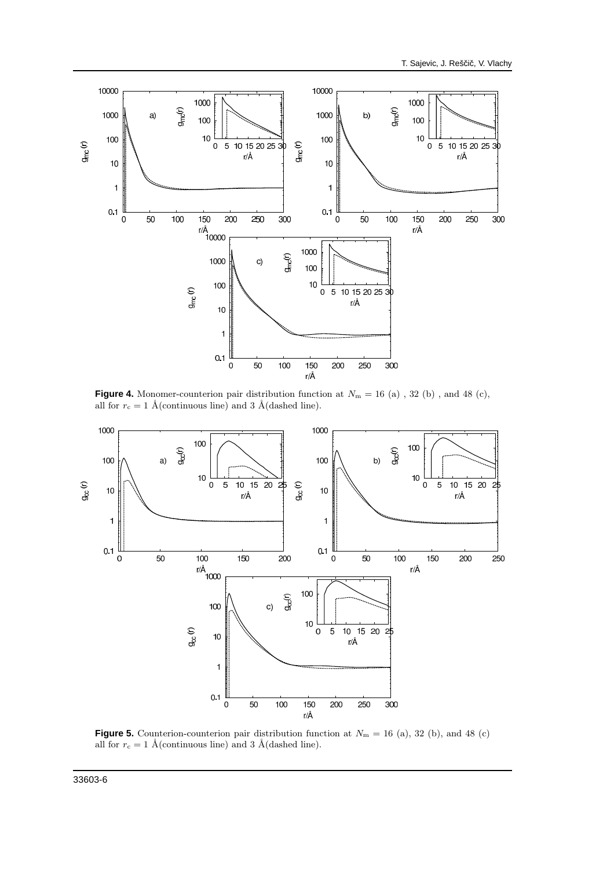

**Figure 4.** Monomer-counterion pair distribution function at  $N_m = 16$  (a), 32 (b), and 48 (c), all for  $r_c = 1$  Å(continuous line) and 3 Å(dashed line).



**Figure 5.** Counterion-counterion pair distribution function at  $N_m = 16$  (a), 32 (b), and 48 (c) all for  $r_c = 1$  Å(continuous line) and 3 Å(dashed line).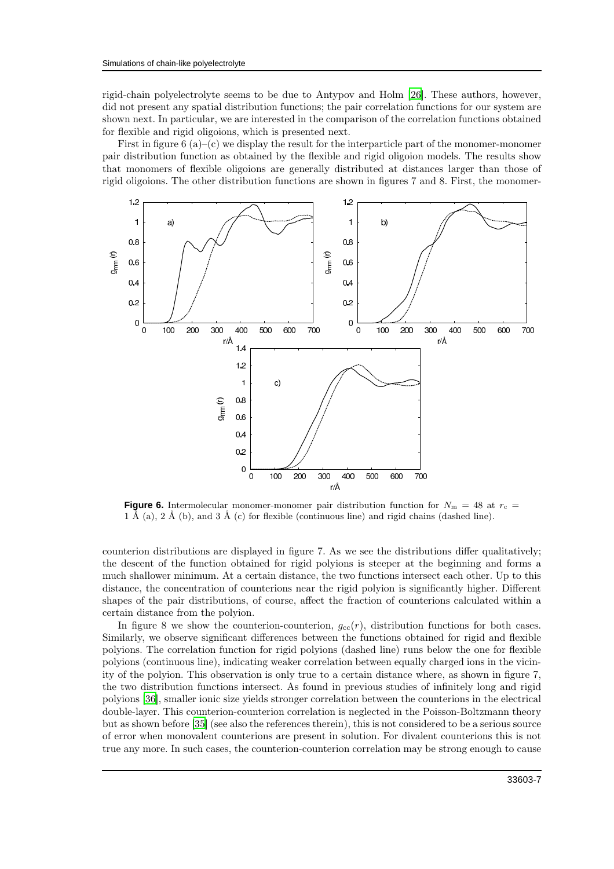rigid-chain polyelectrolyte seems to be due to Antypov and Holm [\[26](#page-12-4)]. These authors, however, did not present any spatial distribution functions; the pair correlation functions for our system are shown next. In particular, we are interested in the comparison of the correlation functions obtained for flexible and rigid oligoions, which is presented next.

First in figure  $6(a)$ –(c) we display the result for the interparticle part of the monomer-monomer pair distribution function as obtained by the flexible and rigid oligoion models. The results show that monomers of flexible oligoions are generally distributed at distances larger than those of rigid oligoions. The other distribution functions are shown in figures 7 and 8. First, the monomer-



**Figure 6.** Intermolecular monomer-monomer pair distribution function for  $N_m = 48$  at  $r_c =$ 1 Å (a), 2 Å (b), and 3 Å (c) for flexible (continuous line) and rigid chains (dashed line).

counterion distributions are displayed in figure 7. As we see the distributions differ qualitatively; the descent of the function obtained for rigid polyions is steeper at the beginning and forms a much shallower minimum. At a certain distance, the two functions intersect each other. Up to this distance, the concentration of counterions near the rigid polyion is significantly higher. Different shapes of the pair distributions, of course, affect the fraction of counterions calculated within a certain distance from the polyion.

In figure 8 we show the counterion-counterion,  $g_{cc}(r)$ , distribution functions for both cases. Similarly, we observe significant differences between the functions obtained for rigid and flexible polyions. The correlation function for rigid polyions (dashed line) runs below the one for flexible polyions (continuous line), indicating weaker correlation between equally charged ions in the vicinity of the polyion. This observation is only true to a certain distance where, as shown in figure 7, the two distribution functions intersect. As found in previous studies of infinitely long and rigid polyions [\[36\]](#page-12-19), smaller ionic size yields stronger correlation between the counterions in the electrical double-layer. This counterion-counterion correlation is neglected in the Poisson-Boltzmann theory but as shown before [\[35\]](#page-12-14) (see also the references therein), this is not considered to be a serious source of error when monovalent counterions are present in solution. For divalent counterions this is not true any more. In such cases, the counterion-counterion correlation may be strong enough to cause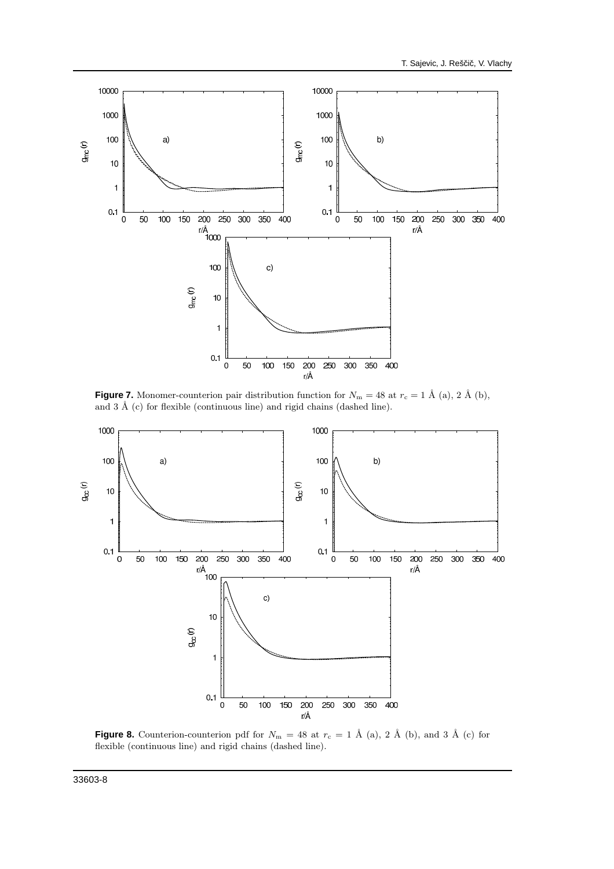

**Figure 7.** Monomer-counterion pair distribution function for  $N_m = 48$  at  $r_c = 1$  Å (a), 2 Å (b), and 3 Å (c) for flexible (continuous line) and rigid chains (dashed line).



**Figure 8.** Counterion-counterion pdf for  $N_{\rm m} = 48$  at  $r_{\rm c} = 1$  Å (a), 2 Å (b), and 3 Å (c) for flexible (continuous line) and rigid chains (dashed line).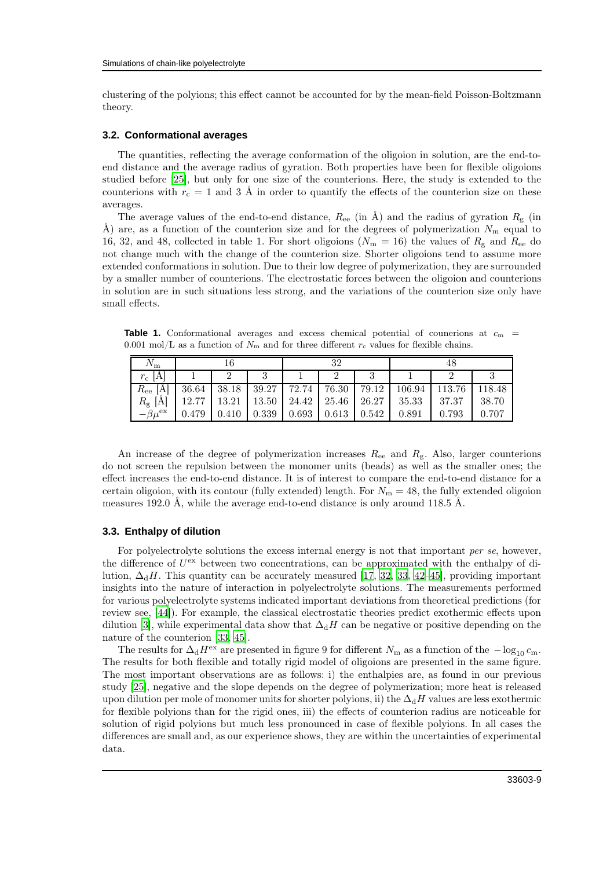clustering of the polyions; this effect cannot be accounted for by the mean-field Poisson-Boltzmann theory.

#### **3.2. Conformational averages**

The quantities, reflecting the average conformation of the oligoion in solution, are the end-toend distance and the average radius of gyration. Both properties have been for flexible oligoions studied before [\[25](#page-12-12)], but only for one size of the counterions. Here, the study is extended to the counterions with  $r_c = 1$  and 3 Å in order to quantify the effects of the counterion size on these averages.

The average values of the end-to-end distance,  $R_{ee}$  (in  $\AA$ ) and the radius of gyration  $R_{g}$  (in Å) are, as a function of the counterion size and for the degrees of polymerization  $N_{\rm m}$  equal to 16, 32, and 48, collected in table 1. For short oligoions ( $N_{\rm m} = 16$ ) the values of  $R_{\rm g}$  and  $R_{\rm ee}$  do not change much with the change of the counterion size. Shorter oligoions tend to assume more extended conformations in solution. Due to their low degree of polymerization, they are surrounded by a smaller number of counterions. The electrostatic forces between the oligoion and counterions in solution are in such situations less strong, and the variations of the counterion size only have small effects.

**Table 1.** Conformational averages and excess chemical potential of counerions at  $c_m$  = 0.001 mol/L as a function of  $N_{\rm m}$  and for three different  $r_{\rm c}$  values for flexible chains.

| $N_{\rm m}$         |       |                                                 |       | 32 |                   |                                         |                 |        |        |
|---------------------|-------|-------------------------------------------------|-------|----|-------------------|-----------------------------------------|-----------------|--------|--------|
| $r_{\rm c}$<br>1A   |       |                                                 |       |    |                   |                                         |                 |        |        |
| $R_{\rm ee}$        | 36.64 |                                                 |       |    |                   | $38.18$   39.27   72.74   76.30   79.12 | 106.94          | 113.76 | 118.48 |
| $R_{\rm g}$ [Å]     |       | $12.77$   13.21   13.50   24.42   25.46   26.27 |       |    |                   |                                         | $35.33$   37.37 |        | 38.70  |
| $-\beta u^{\rm ex}$ | 0.479 | 0.410                                           | 0.339 |    | $0.693 \pm 0.613$ | 0.542                                   | 0.891           | 0.793  | 0.707  |

An increase of the degree of polymerization increases  $R_{ee}$  and  $R_g$ . Also, larger counterions do not screen the repulsion between the monomer units (beads) as well as the smaller ones; the effect increases the end-to-end distance. It is of interest to compare the end-to-end distance for a certain oligoion, with its contour (fully extended) length. For  $N<sub>m</sub> = 48$ , the fully extended oligoion measures 192.0 Å, while the average end-to-end distance is only around 118.5 Å.

#### **3.3. Enthalpy of dilution**

For polyelectrolyte solutions the excess internal energy is not that important *per se*, however, the difference of  $U^{\text{ex}}$  between two concentrations, can be approximated with the enthalpy of dilution,  $\Delta_dH$ . This quantity can be accurately measured [\[17](#page-11-12), [32,](#page-12-10) [33](#page-12-11), [42](#page-12-20)[–45\]](#page-12-21), providing important insights into the nature of interaction in polyelectrolyte solutions. The measurements performed for various polyelectrolyte systems indicated important deviations from theoretical predictions (for review see, [\[44\]](#page-12-22)). For example, the classical electrostatic theories predict exothermic effects upon dilution [\[3\]](#page-11-4), while experimental data show that  $\Delta_dH$  can be negative or positive depending on the nature of the counterion [\[33](#page-12-11), [45\]](#page-12-21).

The results for  $\Delta_d H^{ex}$  are presented in figure 9 for different  $N_m$  as a function of the  $-\log_{10} c_m$ . The results for both flexible and totally rigid model of oligoions are presented in the same figure. The most important observations are as follows: i) the enthalpies are, as found in our previous study [\[25\]](#page-12-12), negative and the slope depends on the degree of polymerization; more heat is released upon dilution per mole of monomer units for shorter polyions, ii) the  $\Delta_dH$  values are less exothermic for flexible polyions than for the rigid ones, iii) the effects of counterion radius are noticeable for solution of rigid polyions but much less pronounced in case of flexible polyions. In all cases the differences are small and, as our experience shows, they are within the uncertainties of experimental data.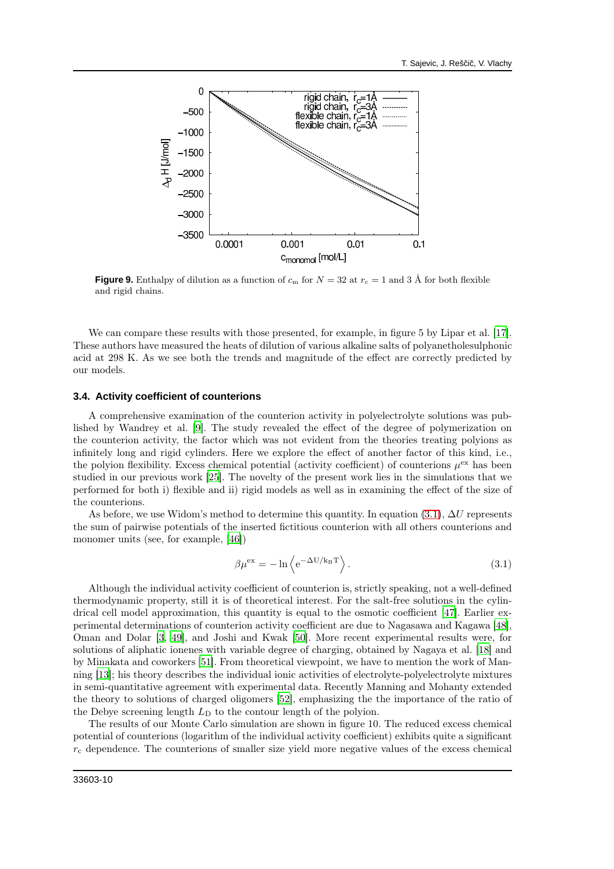

**Figure 9.** Enthalpy of dilution as a function of  $c_m$  for  $N = 32$  at  $r_c = 1$  and 3 Å for both flexible and rigid chains.

We can compare these results with those presented, for example, in figure 5 by Lipar et al. [\[17\]](#page-11-12). These authors have measured the heats of dilution of various alkaline salts of polyanetholesulphonic acid at 298 K. As we see both the trends and magnitude of the effect are correctly predicted by our models.

#### **3.4. Activity coefficient of counterions**

A comprehensive examination of the counterion activity in polyelectrolyte solutions was published by Wandrey et al. [\[9\]](#page-11-11). The study revealed the effect of the degree of polymerization on the counterion activity, the factor which was not evident from the theories treating polyions as infinitely long and rigid cylinders. Here we explore the effect of another factor of this kind, i.e., the polyion flexibility. Excess chemical potential (activity coefficient) of counterions  $\mu^{ex}$  has been studied in our previous work [\[25](#page-12-12)]. The novelty of the present work lies in the simulations that we performed for both i) flexible and ii) rigid models as well as in examining the effect of the size of the counterions.

As before, we use Widom's method to determine this quantity. In equation [\(3.1\)](#page-9-0),  $\Delta U$  represents the sum of pairwise potentials of the inserted fictitious counterion with all others counterions and monomer units (see, for example, [\[46](#page-12-23)])

<span id="page-9-0"></span>
$$
\beta \mu^{\text{ex}} = -\ln \left\langle e^{-\Delta U / k_{\text{B}} \text{T}} \right\rangle. \tag{3.1}
$$

Although the individual activity coefficient of counterion is, strictly speaking, not a well-defined thermodynamic property, still it is of theoretical interest. For the salt-free solutions in the cylindrical cell model approximation, this quantity is equal to the osmotic coefficient [\[47\]](#page-12-24). Earlier experimental determinations of counterion activity coefficient are due to Nagasawa and Kagawa [\[48\]](#page-12-25), Oman and Dolar [\[3,](#page-11-4) [49](#page-12-26)], and Joshi and Kwak [\[50\]](#page-12-27). More recent experimental results were, for solutions of aliphatic ionenes with variable degree of charging, obtained by Nagaya et al. [\[18\]](#page-11-9) and by Minakata and coworkers [\[51\]](#page-12-28). From theoretical viewpoint, we have to mention the work of Manning [\[13\]](#page-11-5); his theory describes the individual ionic activities of electrolyte-polyelectrolyte mixtures in semi-quantitative agreement with experimental data. Recently Manning and Mohanty extended the theory to solutions of charged oligomers [\[52\]](#page-12-29), emphasizing the the importance of the ratio of the Debye screening length  $L<sub>D</sub>$  to the contour length of the polyion.

The results of our Monte Carlo simulation are shown in figure 10. The reduced excess chemical potential of counterions (logarithm of the individual activity coefficient) exhibits quite a significant  $r_c$  dependence. The counterions of smaller size yield more negative values of the excess chemical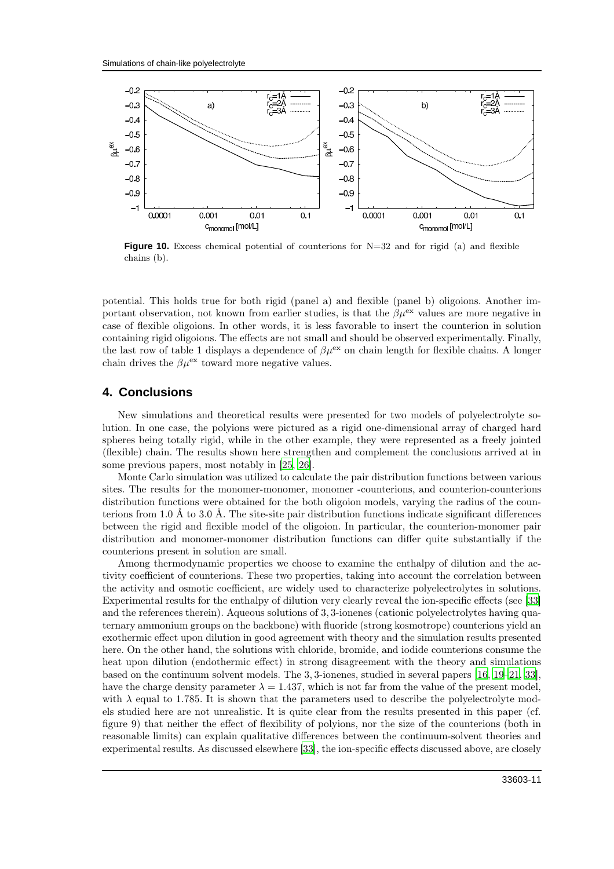

**Figure 10.** Excess chemical potential of counterions for N=32 and for rigid (a) and flexible chains (b).

potential. This holds true for both rigid (panel a) and flexible (panel b) oligoions. Another important observation, not known from earlier studies, is that the  $\beta \mu^{ex}$  values are more negative in case of flexible oligoions. In other words, it is less favorable to insert the counterion in solution containing rigid oligoions. The effects are not small and should be observed experimentally. Finally, the last row of table 1 displays a dependence of  $\beta \mu^{ex}$  on chain length for flexible chains. A longer chain drives the  $\beta \mu^{\text{ex}}$  toward more negative values.

## **4. Conclusions**

New simulations and theoretical results were presented for two models of polyelectrolyte solution. In one case, the polyions were pictured as a rigid one-dimensional array of charged hard spheres being totally rigid, while in the other example, they were represented as a freely jointed (flexible) chain. The results shown here strengthen and complement the conclusions arrived at in some previous papers, most notably in [\[25,](#page-12-12) [26\]](#page-12-4).

Monte Carlo simulation was utilized to calculate the pair distribution functions between various sites. The results for the monomer-monomer, monomer -counterions, and counterion-counterions distribution functions were obtained for the both oligoion models, varying the radius of the counterions from 1.0 Å to 3.0 Å. The site-site pair distribution functions indicate significant differences between the rigid and flexible model of the oligoion. In particular, the counterion-monomer pair distribution and monomer-monomer distribution functions can differ quite substantially if the counterions present in solution are small.

Among thermodynamic properties we choose to examine the enthalpy of dilution and the activity coefficient of counterions. These two properties, taking into account the correlation between the activity and osmotic coefficient, are widely used to characterize polyelectrolytes in solutions. Experimental results for the enthalpy of dilution very clearly reveal the ion-specific effects (see [\[33\]](#page-12-11) and the references therein). Aqueous solutions of 3, 3-ionenes (cationic polyelectrolytes having quaternary ammonium groups on the backbone) with fluoride (strong kosmotrope) counterions yield an exothermic effect upon dilution in good agreement with theory and the simulation results presented here. On the other hand, the solutions with chloride, bromide, and iodide counterions consume the heat upon dilution (endothermic effect) in strong disagreement with the theory and simulations based on the continuum solvent models. The 3, 3-ionenes, studied in several papers [\[16,](#page-11-10) [19](#page-11-13)[–21](#page-12-0), [33\]](#page-12-11), have the charge density parameter  $\lambda = 1.437$ , which is not far from the value of the present model, with  $\lambda$  equal to 1.785. It is shown that the parameters used to describe the polyelectrolyte models studied here are not unrealistic. It is quite clear from the results presented in this paper (cf. figure 9) that neither the effect of flexibility of polyions, nor the size of the counterions (both in reasonable limits) can explain qualitative differences between the continuum-solvent theories and experimental results. As discussed elsewhere [\[33\]](#page-12-11), the ion-specific effects discussed above, are closely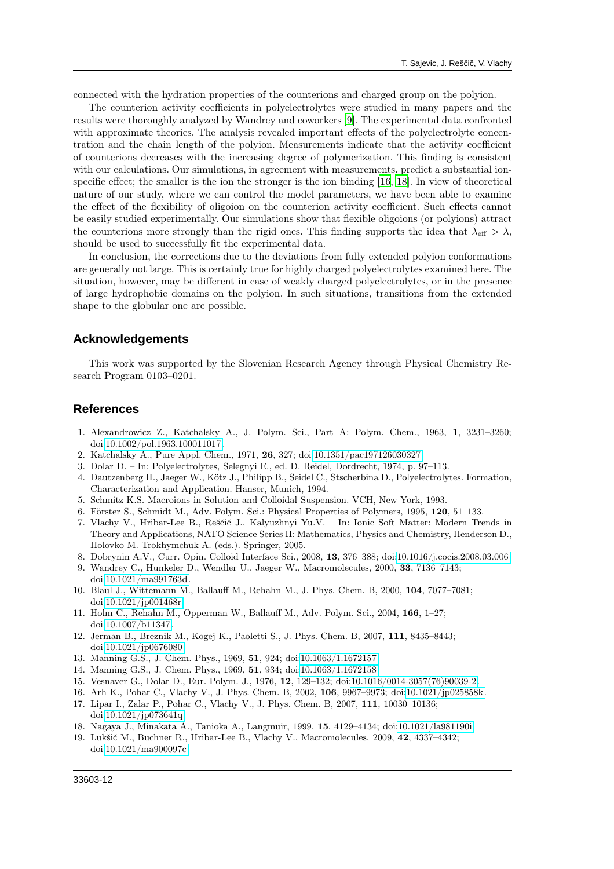connected with the hydration properties of the counterions and charged group on the polyion.

The counterion activity coefficients in polyelectrolytes were studied in many papers and the results were thoroughly analyzed by Wandrey and coworkers [\[9](#page-11-11)]. The experimental data confronted with approximate theories. The analysis revealed important effects of the polyelectrolyte concentration and the chain length of the polyion. Measurements indicate that the activity coefficient of counterions decreases with the increasing degree of polymerization. This finding is consistent with our calculations. Our simulations, in agreement with measurements, predict a substantial ionspecific effect; the smaller is the ion the stronger is the ion binding [\[16](#page-11-10), [18\]](#page-11-9). In view of theoretical nature of our study, where we can control the model parameters, we have been able to examine the effect of the flexibility of oligoion on the counterion activity coefficient. Such effects cannot be easily studied experimentally. Our simulations show that flexible oligoions (or polyions) attract the counterions more strongly than the rigid ones. This finding supports the idea that  $\lambda_{\text{eff}} > \lambda$ , should be used to successfully fit the experimental data.

In conclusion, the corrections due to the deviations from fully extended polyion conformations are generally not large. This is certainly true for highly charged polyelectrolytes examined here. The situation, however, may be different in case of weakly charged polyelectrolytes, or in the presence of large hydrophobic domains on the polyion. In such situations, transitions from the extended shape to the globular one are possible.

## **Acknowledgements**

This work was supported by the Slovenian Research Agency through Physical Chemistry Research Program 0103–0201.

#### <span id="page-11-0"></span>**References**

- <span id="page-11-1"></span>1. Alexandrowicz Z., Katchalsky A., J. Polym. Sci., Part A: Polym. Chem., 1963, 1, 3231–3260; doi[:10.1002/pol.1963.100011017.](http://dx.doi.org/10.1002/pol.1963.100011017)
- 2. Katchalsky A., Pure Appl. Chem., 1971, 26, 327; doi[:10.1351/pac197126030327.](http://dx.doi.org/10.1351/pac197126030327)
- <span id="page-11-4"></span>3. Dolar D. – In: Polyelectrolytes, Selegnyi E., ed. D. Reidel, Dordrecht, 1974, p. 97–113.
- 4. Dautzenberg H., Jaeger W., Kötz J., Philipp B., Seidel C., Stscherbina D., Polyelectrolytes. Formation, Characterization and Application. Hanser, Munich, 1994.
- 5. Schmitz K.S. Macroions in Solution and Colloidal Suspension. VCH, New York, 1993.
- 6. Förster S., Schmidt M., Adv. Polym. Sci.: Physical Properties of Polymers, 1995, 120, 51–133.
- 7. Vlachy V., Hribar-Lee B., Reščič J., Kalyuzhnyi Yu.V. In: Ionic Soft Matter: Modern Trends in Theory and Applications, NATO Science Series II: Mathematics, Physics and Chemistry, Henderson D., Holovko M. Trokhymchuk A. (eds.). Springer, 2005.
- 8. Dobrynin A.V., Curr. Opin. Colloid Interface Sci., 2008, 13, 376–388; doi[:10.1016/j.cocis.2008.03.006.](http://dx.doi.org/10.1016/j.cocis.2008.03.006)
- <span id="page-11-11"></span>9. Wandrey C., Hunkeler D., Wendler U., Jaeger W., Macromolecules, 2000, 33, 7136–7143; doi[:10.1021/ma991763d.](http://dx.doi.org/10.1021/ma991763d)
- <span id="page-11-7"></span>10. Blaul J., Wittemann M., Ballauff M., Rehahn M., J. Phys. Chem. B, 2000, 104, 7077–7081; doi[:10.1021/jp001468r.](http://dx.doi.org/10.1021/jp001468r)
- <span id="page-11-2"></span>11. Holm C., Rehahn M., Opperman W., Ballauff M., Adv. Polym. Sci., 2004, 166, 1–27; doi[:10.1007/b11347.](http://dx.doi.org/10.1007/b11347)
- <span id="page-11-3"></span>12. Jerman B., Breznik M., Kogej K., Paoletti S., J. Phys. Chem. B, 2007, 111, 8435–8443; doi[:10.1021/jp0676080.](http://dx.doi.org/10.1021/jp0676080)
- <span id="page-11-5"></span>13. Manning G.S., J. Chem. Phys., 1969, 51, 924; doi[:10.1063/1.1672157.](http://dx.doi.org/10.1063/1.1672157)
- <span id="page-11-6"></span>14. Manning G.S., J. Chem. Phys., 1969, 51, 934; doi[:10.1063/1.1672158.](http://dx.doi.org/10.1063/1.1672158)
- <span id="page-11-8"></span>15. Vesnaver G., Dolar D., Eur. Polym. J., 1976, 12, 129–132; doi[:10.1016/0014-3057\(76\)90039-2.](http://dx.doi.org/10.1016/0014-3057(76)90039-2)
- <span id="page-11-10"></span>16. Arh K., Pohar C., Vlachy V., J. Phys. Chem. B, 2002, 106, 9967–9973; doi[:10.1021/jp025858k.](http://dx.doi.org/10.1021/jp025858k)
- <span id="page-11-12"></span>17. Lipar I., Zalar P., Pohar C., Vlachy V., J. Phys. Chem. B, 2007, 111, 10030–10136; doi[:10.1021/jp073641q.](http://dx.doi.org/10.1021/jp073641q)
- <span id="page-11-9"></span>18. Nagaya J., Minakata A., Tanioka A., Langmuir, 1999, 15, 4129–4134; doi[:10.1021/la981190i.](http://dx.doi.org/10.1021/la981190i)
- <span id="page-11-13"></span>19. Lukšič M., Buchner R., Hribar-Lee B., Vlachy V., Macromolecules, 2009, 42, 4337–4342; doi[:10.1021/ma900097c.](http://dx.doi.org/10.1021/ma900097c)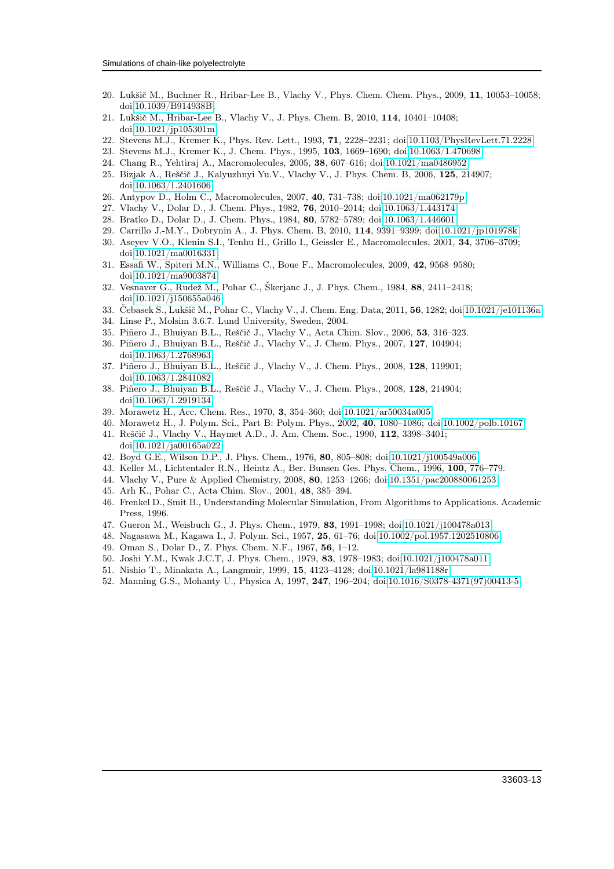- 20. Lukšič M., Buchner R., Hribar-Lee B., Vlachy V., Phys. Chem. Chem. Phys., 2009, 11, 10053–10058; doi[:10.1039/B914938B.](http://dx.doi.org/10.1039/B914938B)
- <span id="page-12-0"></span>21. Lukšič M., Hribar-Lee B., Vlachy V., J. Phys. Chem. B, 2010, 114, 10401–10408; doi[:10.1021/jp105301m.](http://dx.doi.org/10.1021/jp105301m)
- <span id="page-12-1"></span>22. Stevens M.J., Kremer K., Phys. Rev. Lett., 1993, 71, 2228–2231; doi[:10.1103/PhysRevLett.71.2228.](http://dx.doi.org/10.1103/PhysRevLett.71.2228)
- <span id="page-12-2"></span>23. Stevens M.J., Kremer K., J. Chem. Phys., 1995, 103, 1669–1690; doi[:10.1063/1.470698.](http://dx.doi.org/10.1063/1.470698)
- <span id="page-12-3"></span>24. Chang R., Yehtiraj A., Macromolecules, 2005, 38, 607–616; doi[:10.1021/ma0486952.](http://dx.doi.org/10.1021/ma0486952)
- <span id="page-12-12"></span>25. Bizjak A., Reščič J., Kalyuzhnyi Yu.V., Vlachy V., J. Phys. Chem. B, 2006, 125, 214907; doi[:10.1063/1.2401606.](http://dx.doi.org/10.1063/1.2401606)
- <span id="page-12-4"></span>26. Antypov D., Holm C., Macromolecules, 2007, 40, 731–738; doi[:10.1021/ma062179p.](http://dx.doi.org/10.1021/ma062179p)
- <span id="page-12-5"></span>27. Vlachy V., Dolar D., J. Chem. Phys., 1982, 76, 2010–2014; doi[:10.1063/1.443174.](http://dx.doi.org/10.1063/1.443174)
- <span id="page-12-6"></span>28. Bratko D., Dolar D., J. Chem. Phys., 1984, 80, 5782–5789; doi[:10.1063/1.446601.](http://dx.doi.org/10.1063/1.446601)
- <span id="page-12-7"></span>29. Carrillo J.-M.Y., Dobrynin A., J. Phys. Chem. B, 2010, 114, 9391–9399; doi[:10.1021/jp101978k.](http://dx.doi.org/10.1021/jp101978k)
- <span id="page-12-8"></span>30. Aseyev V.O., Klenin S.I., Tenhu H., Grillo I., Geissler E., Macromolecules, 2001, 34, 3706–3709; doi[:10.1021/ma0016331.](http://dx.doi.org/10.1021/ma0016331)
- <span id="page-12-9"></span>31. Essafi W., Spiteri M.N., Williams C., Boue F., Macromolecules, 2009, 42, 9568–9580; doi[:10.1021/ma9003874.](http://dx.doi.org/10.1021/ma9003874)
- <span id="page-12-10"></span>32. Vesnaver G., Rudež M., Pohar C., Škerjanc J., J. Phys. Chem., 1984, 88, 2411–2418; doi[:10.1021/j150655a046.](http://dx.doi.org/10.1021/j150655a046)
- <span id="page-12-11"></span>33. Čebasek S., Lukšič M., Pohar C., Vlachy V., J. Chem. Eng. Data, 2011, 56, 1282; doi[:10.1021/je101136a](http://dx.doi.org/10.1021/je101136a)
- <span id="page-12-13"></span>34. Linse P., Molsim 3.6.7. Lund University, Sweden, 2004.
- <span id="page-12-14"></span>35. Piñero J., Bhuiyan B.L., Reščič J., Vlachy V., Acta Chim. Slov., 2006, 53, 316–323.
- <span id="page-12-19"></span>36. Piñero J., Bhuiyan B.L., Reščič J., Vlachy V., J. Chem. Phys., 2007, 127, 104904; doi[:10.1063/1.2768963.](http://dx.doi.org/10.1063/1.2768963)
- 37. Piñero J., Bhuiyan B.L., Reščič J., Vlachy V., J. Chem. Phys., 2008, 128, 119901; doi[:10.1063/1.2841082.](http://dx.doi.org/10.1063/1.2841082)
- <span id="page-12-15"></span>38. Piñero J., Bhuiyan B.L., Reščič J., Vlachy V., J. Chem. Phys., 2008, 128, 214904; doi[:10.1063/1.2919134.](http://dx.doi.org/10.1063/1.2919134)
- <span id="page-12-16"></span>39. Morawetz H., Acc. Chem. Res., 1970, 3, 354–360; doi[:10.1021/ar50034a005.](http://dx.doi.org/10.1021/ar50034a005)
- <span id="page-12-17"></span>40. Morawetz H., J. Polym. Sci., Part B: Polym. Phys., 2002, 40, 1080–1086; doi[:10.1002/polb.10167.](http://dx.doi.org/10.1002/polb.10167)
- <span id="page-12-18"></span>41. Reščič J., Vlachy V., Haymet A.D., J. Am. Chem. Soc., 1990, 112, 3398–3401; doi[:10.1021/ja00165a022.](http://dx.doi.org/10.1021/ja00165a022)
- <span id="page-12-20"></span>42. Boyd G.E., Wilson D.P., J. Phys. Chem., 1976, 80, 805–808; doi[:10.1021/j100549a006.](http://dx.doi.org/10.1021/j100549a006)
- 43. Keller M., Lichtentaler R.N., Heintz A., Ber. Bunsen Ges. Phys. Chem., 1996, 100, 776–779.
- <span id="page-12-22"></span>44. Vlachy V., Pure & Applied Chemistry, 2008, 80, 1253–1266; doi[:10.1351/pac200880061253.](http://dx.doi.org/10.1351/pac200880061253)
- <span id="page-12-21"></span>45. Arh K., Pohar C., Acta Chim. Slov., 2001, 48, 385–394.
- <span id="page-12-23"></span>46. Frenkel D., Smit B., Understanding Molecular Simulation, From Algorithms to Applications. Academic Press, 1996.
- <span id="page-12-24"></span>47. Gueron M., Weisbuch G., J. Phys. Chem., 1979, 83, 1991–1998; doi[:10.1021/j100478a013.](http://dx.doi.org/10.1021/j100478a013)
- <span id="page-12-25"></span>48. Nagasawa M., Kagawa I., J. Polym. Sci., 1957, 25, 61–76; doi[:10.1002/pol.1957.1202510806.](http://dx.doi.org/10.1002/pol.1957.1202510806)
- <span id="page-12-26"></span>49. Oman S., Dolar D., Z. Phys. Chem. N.F., 1967, 56, 1–12.
- <span id="page-12-27"></span>50. Joshi Y.M., Kwak J.C.T, J. Phys. Chem., 1979, 83, 1978–1983; doi[:10.1021/j100478a011.](http://dx.doi.org/10.1021/j100478a011)
- <span id="page-12-28"></span>51. Nishio T., Minakata A., Langmuir, 1999, 15, 4123–4128; doi[:10.1021/la981188r.](http://dx.doi.org/10.1021/la981188r)
- <span id="page-12-29"></span>52. Manning G.S., Mohanty U., Physica A, 1997, 247, 196–204; doi[:10.1016/S0378-4371\(97\)00413-5.](http://dx.doi.org/10.1016/S0378-4371(97)00413-5)